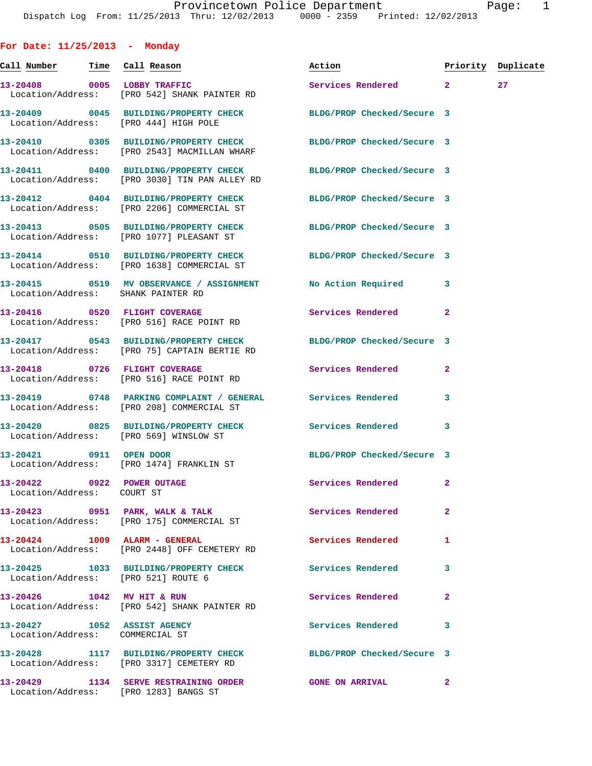**For Date: 11/25/2013 - Monday Call Number Time Call Reason Action Priority Duplicate 13-20408 0005 LOBBY TRAFFIC Services Rendered 2 27**  Location/Address: [PRO 542] SHANK PAINTER RD **13-20409 0045 BUILDING/PROPERTY CHECK BLDG/PROP Checked/Secure 3**  Location/Address: [PRO 444] HIGH POLE **13-20410 0305 BUILDING/PROPERTY CHECK BLDG/PROP Checked/Secure 3**  Location/Address: [PRO 2543] MACMILLAN WHARF **13-20411 0400 BUILDING/PROPERTY CHECK BLDG/PROP Checked/Secure 3**  Location/Address: [PRO 3030] TIN PAN ALLEY RD **13-20412 0404 BUILDING/PROPERTY CHECK BLDG/PROP Checked/Secure 3**  Location/Address: [PRO 2206] COMMERCIAL ST **13-20413 0505 BUILDING/PROPERTY CHECK BLDG/PROP Checked/Secure 3**  Location/Address: [PRO 1077] PLEASANT ST **13-20414 0510 BUILDING/PROPERTY CHECK BLDG/PROP Checked/Secure 3**  Location/Address: [PRO 1638] COMMERCIAL ST **13-20415 0519 MV OBSERVANCE / ASSIGNMENT No Action Required 3**  Location/Address: SHANK PAINTER RD 13-20416 **0520 FLIGHT COVERAGE Services Rendered** 2 Location/Address: [PRO 516] RACE POINT RD **13-20417 0543 BUILDING/PROPERTY CHECK BLDG/PROP Checked/Secure 3**  Location/Address: [PRO 75] CAPTAIN BERTIE RD **13-20418 0726 FLIGHT COVERAGE Services Rendered 2**  Location/Address: [PRO 516] RACE POINT RD **13-20419 0748 PARKING COMPLAINT / GENERAL Services Rendered 3**  Location/Address: [PRO 208] COMMERCIAL ST **13-20420 0825 BUILDING/PROPERTY CHECK Services Rendered 3**  Location/Address: [PRO 569] WINSLOW ST **13-20421 0911 OPEN DOOR BLDG/PROP Checked/Secure 3**  Location/Address: [PRO 1474] FRANKLIN ST **13-20422 0922 POWER OUTAGE Services Rendered 2**  Location/Address: COURT ST **13-20423 0951 PARK, WALK & TALK Services Rendered 2**  Location/Address: [PRO 175] COMMERCIAL ST **13-20424 1009 ALARM - GENERAL Services Rendered 1**  Location/Address: [PRO 2448] OFF CEMETERY RD **13-20425 1033 BUILDING/PROPERTY CHECK Services Rendered 3**  Location/Address: [PRO 521] ROUTE 6 **13-20426 1042 MV HIT & RUN Services Rendered 2**  Location/Address: [PRO 542] SHANK PAINTER RD **13-20427 1052 ASSIST AGENCY Services Rendered 3**  Location/Address: COMMERCIAL ST **13-20428 1117 BUILDING/PROPERTY CHECK BLDG/PROP Checked/Secure 3** 

**13-20429 1134 SERVE RESTRAINING ORDER GONE ON ARRIVAL 2**  Location/Address: [PRO 1283] BANGS ST

Location/Address: [PRO 3317] CEMETERY RD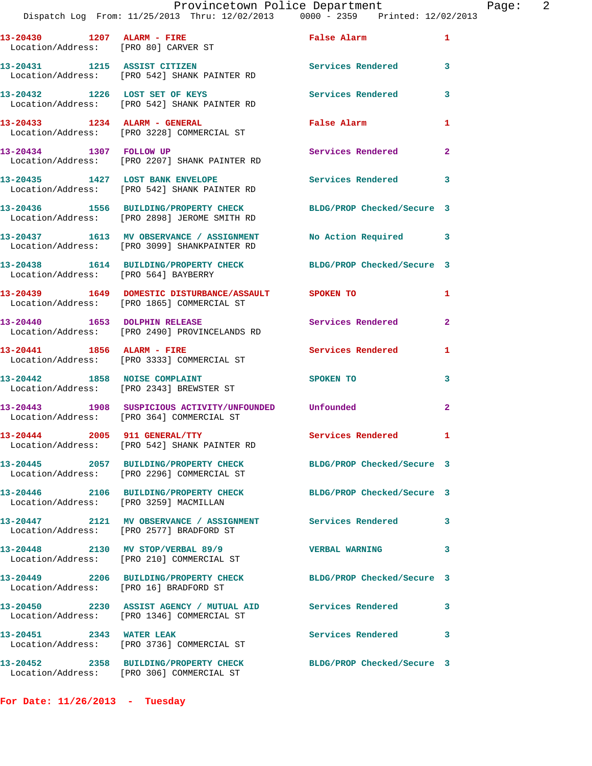**13-20430 1207 ALARM - FIRE False Alarm 1**  Location/Address: [PRO 80] CARVER ST **13-20431 1215 ASSIST CITIZEN Services Rendered 3**  Location/Address: [PRO 542] SHANK PAINTER RD **13-20432 1226 LOST SET OF KEYS Services Rendered 3**  Location/Address: [PRO 542] SHANK PAINTER RD **13-20433 1234 ALARM - GENERAL False Alarm 1**  Location/Address: [PRO 3228] COMMERCIAL ST **13-20434 1307 FOLLOW UP Services Rendered 2**  Location/Address: [PRO 2207] SHANK PAINTER RD **13-20435 1427 LOST BANK ENVELOPE Services Rendered 3**  Location/Address: [PRO 542] SHANK PAINTER RD **13-20436 1556 BUILDING/PROPERTY CHECK BLDG/PROP Checked/Secure 3**  Location/Address: [PRO 2898] JEROME SMITH RD **13-20437 1613 MV OBSERVANCE / ASSIGNMENT No Action Required 3**  Location/Address: [PRO 3099] SHANKPAINTER RD **13-20438 1614 BUILDING/PROPERTY CHECK BLDG/PROP Checked/Secure 3**  Location/Address: [PRO 564] BAYBERRY **13-20439 1649 DOMESTIC DISTURBANCE/ASSAULT SPOKEN TO 1**  Location/Address: [PRO 1865] COMMERCIAL ST 13-20440 1653 DOLPHIN RELEASE **Services Rendered** 2 Location/Address: [PRO 2490] PROVINCELANDS RD **13-20441 1856 ALARM - FIRE Services Rendered 1**  Location/Address: [PRO 3333] COMMERCIAL ST **13-20442 1858 NOISE COMPLAINT SPOKEN TO 3**  Location/Address: [PRO 2343] BREWSTER ST **13-20443 1908 SUSPICIOUS ACTIVITY/UNFOUNDED Unfounded 2**  Location/Address: [PRO 364] COMMERCIAL ST 13-20444 2005 911 GENERAL/TTY **Services Rendered** 1 Location/Address: [PRO 542] SHANK PAINTER RD **13-20445 2057 BUILDING/PROPERTY CHECK BLDG/PROP Checked/Secure 3**  Location/Address: [PRO 2296] COMMERCIAL ST **13-20446 2106 BUILDING/PROPERTY CHECK BLDG/PROP Checked/Secure 3**  Location/Address: [PRO 3259] MACMILLAN **13-20447 2121 MV OBSERVANCE / ASSIGNMENT Services Rendered 3**  Location/Address: [PRO 2577] BRADFORD ST **13-20448 2130 MV STOP/VERBAL 89/9 VERBAL WARNING 3**  Location/Address: [PRO 210] COMMERCIAL ST **13-20449 2206 BUILDING/PROPERTY CHECK BLDG/PROP Checked/Secure 3**  Location/Address: [PRO 16] BRADFORD ST **13-20450 2230 ASSIST AGENCY / MUTUAL AID Services Rendered 3**  Location/Address: [PRO 1346] COMMERCIAL ST **13-20451 2343 WATER LEAK Services Rendered 3**  Location/Address: [PRO 3736] COMMERCIAL ST **13-20452 2358 BUILDING/PROPERTY CHECK BLDG/PROP Checked/Secure 3**  Location/Address: [PRO 306] COMMERCIAL ST

**For Date: 11/26/2013 - Tuesday**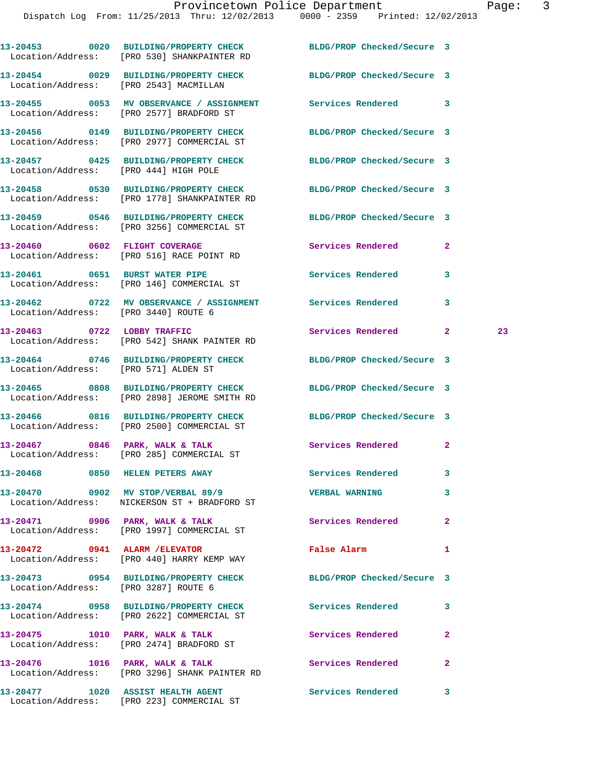|  | 13-20453 0020 BUILDING/PROPERTY CHECK BLDG/PROP Checked/Secure 3<br>Location/Address: [PRO 530] SHANKPAINTER RD |                              |              |    |
|--|-----------------------------------------------------------------------------------------------------------------|------------------------------|--------------|----|
|  | 13-20454 0029 BUILDING/PROPERTY CHECK BLDG/PROP Checked/Secure 3<br>Location/Address: [PRO 2543] MACMILLAN      |                              |              |    |
|  | 13-20455 0053 MV OBSERVANCE / ASSIGNMENT Services Rendered 3<br>Location/Address: [PRO 2577] BRADFORD ST        |                              |              |    |
|  | 13-20456 0149 BUILDING/PROPERTY CHECK BLDG/PROP Checked/Secure 3<br>Location/Address: [PRO 2977] COMMERCIAL ST  |                              |              |    |
|  | 13-20457 0425 BUILDING/PROPERTY CHECK BLDG/PROP Checked/Secure 3<br>Location/Address: [PRO 444] HIGH POLE       |                              |              |    |
|  | 13-20458 0530 BUILDING/PROPERTY CHECK<br>Location/Address: [PRO 1778] SHANKPAINTER RD                           | BLDG/PROP Checked/Secure 3   |              |    |
|  | 13-20459 0546 BUILDING/PROPERTY CHECK<br>Location/Address: [PRO 3256] COMMERCIAL ST                             | BLDG/PROP Checked/Secure 3   |              |    |
|  | 13-20460 0602 FLIGHT COVERAGE<br>Location/Address: [PRO 516] RACE POINT RD                                      | <b>Services Rendered</b>     | $\mathbf{2}$ |    |
|  | 13-20461 0651 BURST WATER PIPE<br>Location/Address: [PRO 146] COMMERCIAL ST                                     | Services Rendered            | 3            |    |
|  | 13-20462  0722 MV OBSERVANCE / ASSIGNMENT Services Rendered<br>Location/Address: [PRO 3440] ROUTE 6             |                              | 3            |    |
|  | 13-20463 0722 LOBBY TRAFFIC<br>Location/Address: [PRO 542] SHANK PAINTER RD                                     | <b>Services Rendered</b>     | $\mathbf{2}$ | 23 |
|  | 13-20464 0746 BUILDING/PROPERTY CHECK BLDG/PROP Checked/Secure 3<br>Location/Address: [PRO 571] ALDEN ST        |                              |              |    |
|  | 13-20465 0808 BUILDING/PROPERTY CHECK<br>Location/Address: [PRO 2898] JEROME SMITH RD                           | BLDG/PROP Checked/Secure 3   |              |    |
|  | 13-20466 0816 BUILDING/PROPERTY CHECK BLDG/PROP Checked/Secure 3<br>Location/Address: [PRO 2500] COMMERCIAL ST  |                              |              |    |
|  | 13-20467 0846 PARK, WALK & TALK<br>Location/Address: [PRO 285] COMMERCIAL ST                                    | Services Rendered            | $\mathbf{2}$ |    |
|  | 13-20468 0850 HELEN PETERS AWAY                                                                                 | <b>Services Rendered</b>     |              |    |
|  | 13-20470  0902 MV STOP/VERBAL 89/9  VERBAL WARNING<br>Location/Address: NICKERSON ST + BRADFORD ST              |                              | 3            |    |
|  | 13-20471 0906 PARK, WALK & TALK<br>Location/Address: [PRO 1997] COMMERCIAL ST                                   | <b>Services Rendered</b>     | $\mathbf{2}$ |    |
|  | 13-20472 0941 ALARM / ELEVATOR<br>Location/Address: [PRO 440] HARRY KEMP WAY                                    | False Alarm <b>Example 2</b> | 1            |    |
|  | 13-20473 0954 BUILDING/PROPERTY CHECK<br>Location/Address: [PRO 3287] ROUTE 6                                   | BLDG/PROP Checked/Secure 3   |              |    |
|  | 13-20474 0958 BUILDING/PROPERTY CHECK<br>Location/Address: [PRO 2622] COMMERCIAL ST                             | Services Rendered            | 3            |    |
|  | 13-20475 1010 PARK, WALK & TALK<br>Location/Address: [PRO 2474] BRADFORD ST                                     | <b>Services Rendered</b>     | $\mathbf{2}$ |    |
|  | 13-20476 1016 PARK, WALK & TALK<br>Location/Address: [PRO 3296] SHANK PAINTER RD                                | Services Rendered            | $\mathbf{2}$ |    |
|  | 13-20477 1020 ASSIST HEALTH AGENT                                                                               | Services Rendered 3          |              |    |

Location/Address: [PRO 223] COMMERCIAL ST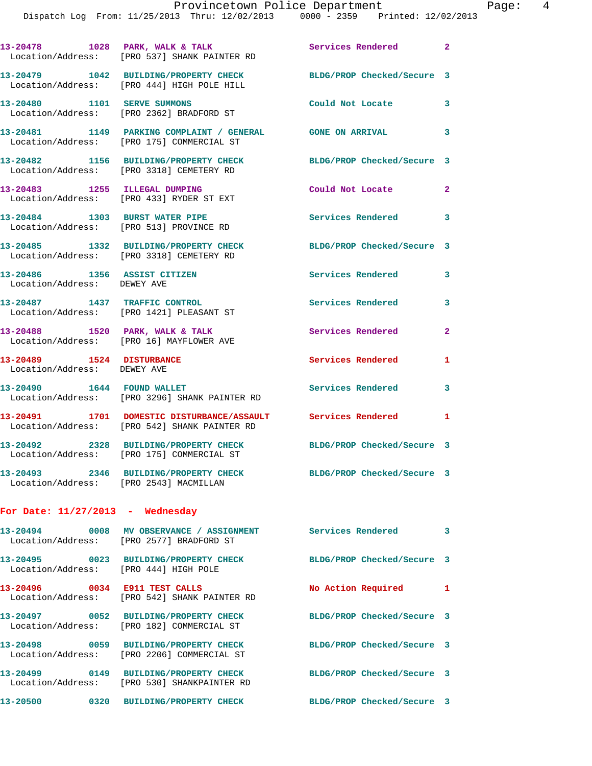|                                                             | 13-20478 1028 PARK, WALK & TALK<br>Location/Address: [PRO 537] SHANK PAINTER RD                                | Services Rendered 2        |                         |
|-------------------------------------------------------------|----------------------------------------------------------------------------------------------------------------|----------------------------|-------------------------|
|                                                             | 13-20479 1042 BUILDING/PROPERTY CHECK<br>Location/Address: [PRO 444] HIGH POLE HILL                            | BLDG/PROP Checked/Secure 3 |                         |
|                                                             | 13-20480 1101 SERVE SUMMONS<br>Location/Address: [PRO 2362] BRADFORD ST                                        | Could Not Locate           | 3                       |
|                                                             | 13-20481 1149 PARKING COMPLAINT / GENERAL GONE ON ARRIVAL<br>Location/Address: [PRO 175] COMMERCIAL ST         |                            | 3                       |
|                                                             | 13-20482 1156 BUILDING/PROPERTY CHECK<br>Location/Address: [PRO 3318] CEMETERY RD                              | BLDG/PROP Checked/Secure 3 |                         |
| 13-20483 1255 ILLEGAL DUMPING                               | Location/Address: [PRO 433] RYDER ST EXT                                                                       | Could Not Locate           | $\mathbf{2}$            |
| 13-20484 1303 BURST WATER PIPE                              | Location/Address: [PRO 513] PROVINCE RD                                                                        | Services Rendered 3        |                         |
|                                                             | 13-20485 1332 BUILDING/PROPERTY CHECK<br>Location/Address: [PRO 3318] CEMETERY RD                              | BLDG/PROP Checked/Secure 3 |                         |
| 13-20486 1356 ASSIST CITIZEN<br>Location/Address: DEWEY AVE |                                                                                                                | Services Rendered          | 3                       |
|                                                             | 13-20487 1437 TRAFFIC CONTROL<br>Location/Address: [PRO 1421] PLEASANT ST                                      | <b>Services Rendered</b>   | 3                       |
|                                                             | 13-20488 1520 PARK, WALK & TALK<br>Location/Address: [PRO 16] MAYFLOWER AVE                                    | Services Rendered          | $\mathbf{2}$            |
| 13-20489 1524 DISTURBANCE<br>Location/Address: DEWEY AVE    |                                                                                                                | Services Rendered          | 1                       |
| 13-20490   1644   FOUND WALLET                              | Location/Address: [PRO 3296] SHANK PAINTER RD                                                                  | Services Rendered          | 3                       |
|                                                             | 13-20491 1701 DOMESTIC DISTURBANCE/ASSAULT Services Rendered 1<br>Location/Address: [PRO 542] SHANK PAINTER RD |                            |                         |
|                                                             | 13-20492 2328 BUILDING/PROPERTY CHECK<br>Location/Address: [PRO 175] COMMERCIAL ST                             | BLDG/PROP Checked/Secure 3 |                         |
| Location/Address: [PRO 2543] MACMILLAN                      | 13-20493 2346 BUILDING/PROPERTY CHECK                                                                          | BLDG/PROP Checked/Secure 3 |                         |
| For Date: $11/27/2013$ - Wednesday                          |                                                                                                                |                            |                         |
|                                                             | 13-20494 0008 MV OBSERVANCE / ASSIGNMENT<br>Location/Address: [PRO 2577] BRADFORD ST                           | <b>Services Rendered</b>   | $\overline{\mathbf{3}}$ |
| Location/Address: [PRO 444] HIGH POLE                       | 13-20495 0023 BUILDING/PROPERTY CHECK                                                                          | BLDG/PROP Checked/Secure 3 |                         |
|                                                             | 13-20496 0034 E911 TEST CALLS<br>Location/Address: [PRO 542] SHANK PAINTER RD                                  | No Action Required         | $\mathbf{1}$            |
|                                                             | 13-20497 0052 BUILDING/PROPERTY CHECK<br>Location/Address: [PRO 182] COMMERCIAL ST                             | BLDG/PROP Checked/Secure 3 |                         |
|                                                             | 13-20498 0059 BUILDING/PROPERTY CHECK<br>Location/Address: [PRO 2206] COMMERCIAL ST                            | BLDG/PROP Checked/Secure 3 |                         |
|                                                             | 13-20499 0149 BUILDING/PROPERTY CHECK<br>Location/Address: [PRO 530] SHANKPAINTER RD                           | BLDG/PROP Checked/Secure 3 |                         |

**13-20500 0320 BUILDING/PROPERTY CHECK BLDG/PROP Checked/Secure 3**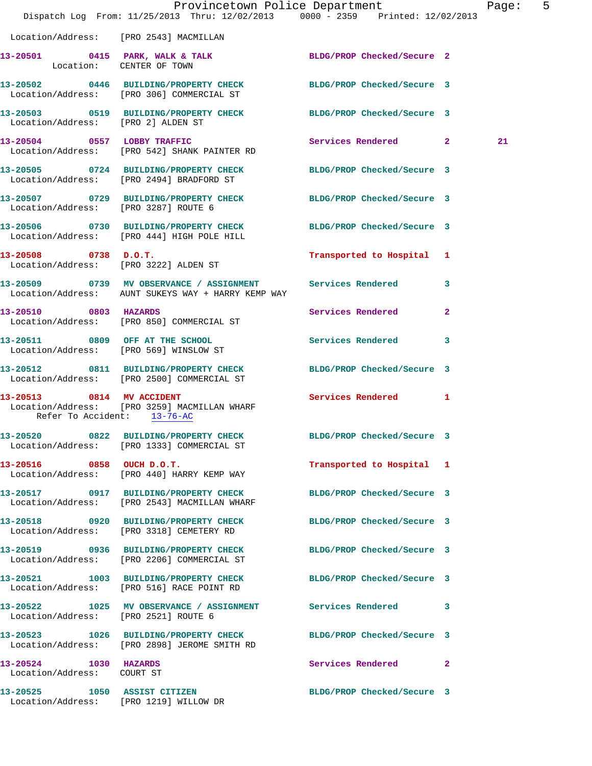|                                                     |                                                                                                                    | Provincetown Police Department | Page: 5 |  |
|-----------------------------------------------------|--------------------------------------------------------------------------------------------------------------------|--------------------------------|---------|--|
|                                                     | Dispatch Log From: 11/25/2013 Thru: 12/02/2013 0000 - 2359 Printed: 12/02/2013                                     |                                |         |  |
|                                                     | Location/Address: [PRO 2543] MACMILLAN                                                                             |                                |         |  |
| Location: CENTER OF TOWN                            | 13-20501 0415 PARK, WALK & TALK BLDG/PROP Checked/Secure 2                                                         |                                |         |  |
|                                                     | 13-20502 0446 BUILDING/PROPERTY CHECK BLDG/PROP Checked/Secure 3<br>Location/Address: [PRO 306] COMMERCIAL ST      |                                |         |  |
| Location/Address: [PRO 2] ALDEN ST                  | 13-20503 0519 BUILDING/PROPERTY CHECK BLDG/PROP Checked/Secure 3                                                   |                                |         |  |
|                                                     | 13-20504 0557 LOBBY TRAFFIC<br>Location/Address: [PRO 542] SHANK PAINTER RD                                        | Services Rendered 2            | 21      |  |
|                                                     | 13-20505 0724 BUILDING/PROPERTY CHECK BLDG/PROP Checked/Secure 3<br>Location/Address: [PRO 2494] BRADFORD ST       |                                |         |  |
|                                                     | 13-20507 0729 BUILDING/PROPERTY CHECK BLDG/PROP Checked/Secure 3<br>Location/Address: [PRO 3287] ROUTE 6           |                                |         |  |
|                                                     | 13-20506 0730 BUILDING/PROPERTY CHECK BLDG/PROP Checked/Secure 3<br>Location/Address: [PRO 444] HIGH POLE HILL     |                                |         |  |
|                                                     | 13-20508 0738 D.O.T.<br>Location/Address: [PRO 3222] ALDEN ST                                                      | Transported to Hospital 1      |         |  |
|                                                     | 13-20509 0739 MV OBSERVANCE / ASSIGNMENT Services Rendered 3<br>Location/Address: AUNT SUKEYS WAY + HARRY KEMP WAY |                                |         |  |
| 13-20510 0803 HAZARDS                               | Location/Address: [PRO 850] COMMERCIAL ST                                                                          | Services Rendered 2            |         |  |
|                                                     | 13-20511 0809 OFF AT THE SCHOOL<br>Location/Address: [PRO 569] WINSLOW ST                                          | Services Rendered 3            |         |  |
|                                                     | 13-20512 0811 BUILDING/PROPERTY CHECK BLDG/PROP Checked/Secure 3<br>Location/Address: [PRO 2500] COMMERCIAL ST     |                                |         |  |
| Refer To Accident: 13-76-AC                         | 13-20513 0814 MV ACCIDENT<br>Location/Address: [PRO 3259] MACMILLAN WHARF                                          | Services Rendered 1            |         |  |
|                                                     | 13-20520 0822 BUILDING/PROPERTY CHECK BLDG/PROP Checked/Secure 3<br>Location/Address: [PRO 1333] COMMERCIAL ST     |                                |         |  |
|                                                     | 13-20516 0858 OUCH D.O.T.<br>Location/Address: [PRO 440] HARRY KEMP WAY                                            | Transported to Hospital 1      |         |  |
|                                                     | 13-20517 0917 BUILDING/PROPERTY CHECK<br>Location/Address: [PRO 2543] MACMILLAN WHARF                              | BLDG/PROP Checked/Secure 3     |         |  |
|                                                     | 13-20518 0920 BUILDING/PROPERTY CHECK BLDG/PROP Checked/Secure 3<br>Location/Address: [PRO 3318] CEMETERY RD       |                                |         |  |
|                                                     | 13-20519 0936 BUILDING/PROPERTY CHECK BLDG/PROP Checked/Secure 3<br>Location/Address: [PRO 2206] COMMERCIAL ST     |                                |         |  |
|                                                     | 13-20521 1003 BUILDING/PROPERTY CHECK BLDG/PROP Checked/Secure 3<br>Location/Address: [PRO 516] RACE POINT RD      |                                |         |  |
| Location/Address: [PRO 2521] ROUTE 6                | 13-20522 1025 MV OBSERVANCE / ASSIGNMENT Services Rendered 3                                                       |                                |         |  |
|                                                     | 13-20523 1026 BUILDING/PROPERTY CHECK<br>Location/Address: [PRO 2898] JEROME SMITH RD                              | BLDG/PROP Checked/Secure 3     |         |  |
| 13-20524 1030 HAZARDS<br>Location/Address: COURT ST |                                                                                                                    | Services Rendered 2            |         |  |
|                                                     | 13-20525 1050 ASSIST CITIZEN<br>Location/Address: [PRO 1219] WILLOW DR                                             | BLDG/PROP Checked/Secure 3     |         |  |
|                                                     |                                                                                                                    |                                |         |  |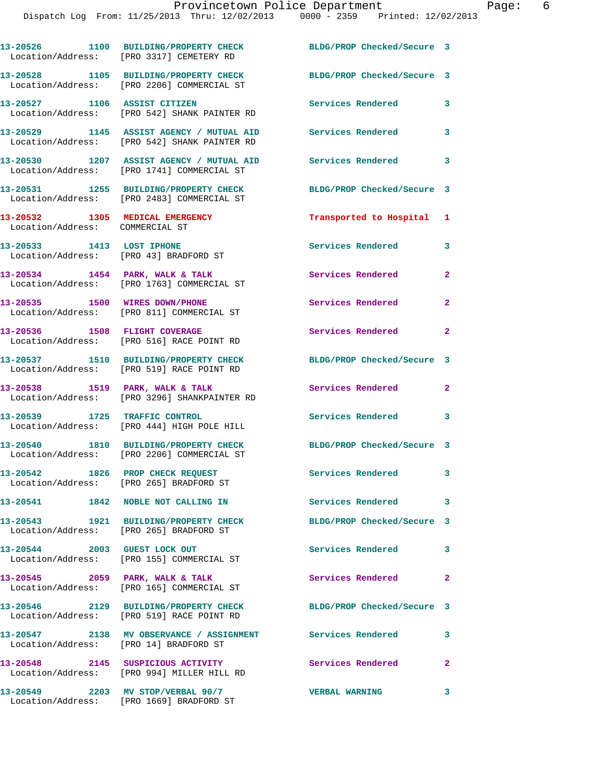**13-20526 1100 BUILDING/PROPERTY CHECK BLDG/PROP Checked/Secure 3** 

|                                                                    | Location/Address: [PRO 3317] CEMETERY RD                                                 |                            |                            |
|--------------------------------------------------------------------|------------------------------------------------------------------------------------------|----------------------------|----------------------------|
|                                                                    | 13-20528 1105 BUILDING/PROPERTY CHECK<br>Location/Address: [PRO 2206] COMMERCIAL ST      | BLDG/PROP Checked/Secure 3 |                            |
|                                                                    | 13-20527 1106 ASSIST CITIZEN<br>Location/Address: [PRO 542] SHANK PAINTER RD             | Services Rendered          | 3                          |
|                                                                    | 13-20529 1145 ASSIST AGENCY / MUTUAL AID<br>Location/Address: [PRO 542] SHANK PAINTER RD | Services Rendered 3        |                            |
|                                                                    | 13-20530 1207 ASSIST AGENCY / MUTUAL AID<br>Location/Address: [PRO 1741] COMMERCIAL ST   | Services Rendered 3        |                            |
|                                                                    | 13-20531 1255 BUILDING/PROPERTY CHECK<br>Location/Address: [PRO 2483] COMMERCIAL ST      | BLDG/PROP Checked/Secure 3 |                            |
| 13-20532 1305 MEDICAL EMERGENCY<br>Location/Address: COMMERCIAL ST |                                                                                          | Transported to Hospital 1  |                            |
| 13-20533 1413 LOST IPHONE                                          | Location/Address: [PRO 43] BRADFORD ST                                                   | Services Rendered 3        |                            |
|                                                                    | $13-20534$ 1454 PARK, WALK & TALK<br>Location/Address: [PRO 1763] COMMERCIAL ST          | Services Rendered          | $\mathbf{2}$               |
| 13-20535 1500 WIRES DOWN/PHONE                                     | Location/Address: [PRO 811] COMMERCIAL ST                                                | Services Rendered          | $\mathbf{2}$               |
|                                                                    | 13-20536 1508 FLIGHT COVERAGE<br>Location/Address: [PRO 516] RACE POINT RD               | <b>Services Rendered</b>   | $\overline{\phantom{a}}$ 2 |
|                                                                    | 13-20537 1510 BUILDING/PROPERTY CHECK<br>Location/Address: [PRO 519] RACE POINT RD       | BLDG/PROP Checked/Secure 3 |                            |
|                                                                    | 13-20538 1519 PARK, WALK & TALK<br>Location/Address: [PRO 3296] SHANKPAINTER RD          | Services Rendered          | $\overline{\phantom{a}}$ 2 |
| 13-20539 1725 TRAFFIC CONTROL                                      | Location/Address: [PRO 444] HIGH POLE HILL                                               | Services Rendered 3        |                            |
|                                                                    | 13-20540 1810 BUILDING/PROPERTY CHECK<br>Location/Address: [PRO 2206] COMMERCIAL ST      | BLDG/PROP Checked/Secure 3 |                            |
|                                                                    | 13-20542 1826 PROP CHECK REQUEST<br>Location/Address: [PRO 265] BRADFORD ST              | Services Rendered 3        |                            |
|                                                                    | 13-20541 1842 NOBLE NOT CALLING IN                                                       | <b>Services Rendered</b>   | 3                          |
|                                                                    | 13-20543 1921 BUILDING/PROPERTY CHECK<br>Location/Address: [PRO 265] BRADFORD ST         | BLDG/PROP Checked/Secure 3 |                            |
|                                                                    | 13-20544 2003 GUEST LOCK OUT<br>Location/Address: [PRO 155] COMMERCIAL ST                | <b>Services Rendered</b>   | 3                          |
|                                                                    | 13-20545 2059 PARK, WALK & TALK<br>Location/Address: [PRO 165] COMMERCIAL ST             | Services Rendered 2        |                            |
|                                                                    | 13-20546 2129 BUILDING/PROPERTY CHECK<br>Location/Address: [PRO 519] RACE POINT RD       | BLDG/PROP Checked/Secure 3 |                            |
| Location/Address: [PRO 14] BRADFORD ST                             | 13-20547 2138 MV OBSERVANCE / ASSIGNMENT Services Rendered                               |                            | 3                          |
|                                                                    | 13-20548 2145 SUSPICIOUS ACTIVITY<br>Location/Address: [PRO 994] MILLER HILL RD          | <b>Services Rendered</b>   | $\mathbf{2}$               |
| 13-20549 2203 MV STOP/VERBAL 90/7                                  | Location/Address: [PRO 1669] BRADFORD ST                                                 | <b>VERBAL WARNING</b>      | 3                          |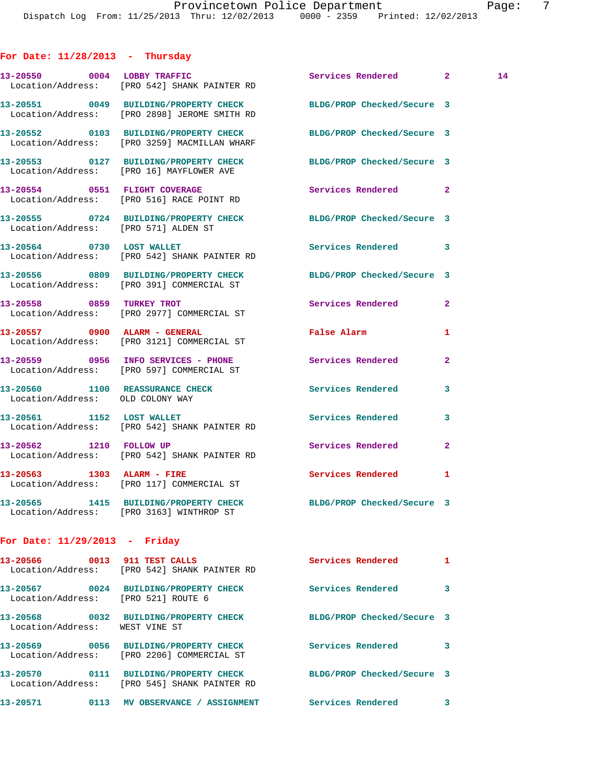**For Date: 11/28/2013 - Thursday 13-20550 0004 LOBBY TRAFFIC Services Rendered 2 14**  Location/Address: [PRO 542] SHANK PAINTER RD **13-20551 0049 BUILDING/PROPERTY CHECK BLDG/PROP Checked/Secure 3**  Location/Address: [PRO 2898] JEROME SMITH RD **13-20552 0103 BUILDING/PROPERTY CHECK BLDG/PROP Checked/Secure 3**  Location/Address: [PRO 3259] MACMILLAN WHARF **13-20553 0127 BUILDING/PROPERTY CHECK BLDG/PROP Checked/Secure 3**  Location/Address: [PRO 16] MAYFLOWER AVE 13-20554 0551 FLIGHT COVERAGE **Services Rendered** 2 Location/Address: [PRO 516] RACE POINT RD **13-20555 0724 BUILDING/PROPERTY CHECK BLDG/PROP Checked/Secure 3**  Location/Address: [PRO 571] ALDEN ST **13-20564 0730 LOST WALLET Services Rendered 3**  Location/Address: [PRO 542] SHANK PAINTER RD **13-20556 0809 BUILDING/PROPERTY CHECK BLDG/PROP Checked/Secure 3**  Location/Address: [PRO 391] COMMERCIAL ST **13-20558 0859 TURKEY TROT Services Rendered 2**  Location/Address: [PRO 2977] COMMERCIAL ST **13-20557 0900 ALARM - GENERAL False Alarm 1**  Location/Address: [PRO 3121] COMMERCIAL ST **13-20559 0956 INFO SERVICES - PHONE Services Rendered 2**  Location/Address: [PRO 597] COMMERCIAL ST **13-20560 1100 REASSURANCE CHECK Services Rendered 3**  Location/Address: OLD COLONY WAY 13-20561 1152 LOST WALLET **1152 Services Rendered** 3 Location/Address: [PRO 542] SHANK PAINTER RD 13-20562 1210 FOLLOW UP **Services Rendered** 2 Location/Address: [PRO 542] SHANK PAINTER RD **13-20563 1303 ALARM - FIRE Services Rendered 1**  Location/Address: [PRO 117] COMMERCIAL ST **13-20565 1415 BUILDING/PROPERTY CHECK BLDG/PROP Checked/Secure 3**  Location/Address: [PRO 3163] WINTHROP ST **For Date: 11/29/2013 - Friday**

| 0013<br>13-20566<br>Location/Address: | 911 TEST CALLS<br>FRO 5421 SHANK PAINTER RD                  | Services Rendered          | 1 |
|---------------------------------------|--------------------------------------------------------------|----------------------------|---|
| 13-20567<br>0024<br>Location/Address: | <b>BUILDING/PROPERTY CHECK</b><br>FPRO 5211 ROUTE 6          | Services Rendered          | 3 |
| 0032<br>13-20568<br>Location/Address: | <b>BUILDING/PROPERTY CHECK</b><br>WEST VINE ST               | BLDG/PROP Checked/Secure 3 |   |
| 13-20569<br>0056<br>Location/Address: | <b>BUILDING/PROPERTY CHECK</b><br>[PRO 2206] COMMERCIAL ST   | Services Rendered          | 3 |
| 13-20570<br>0111<br>Location/Address: | <b>BUILDING/PROPERTY CHECK</b><br>[PRO 545] SHANK PAINTER RD | BLDG/PROP Checked/Secure 3 |   |
| 13-20571<br>0113                      | <b>OBSERVANCE / ASSIGNMENT</b><br>МV                         | Services Rendered          | 3 |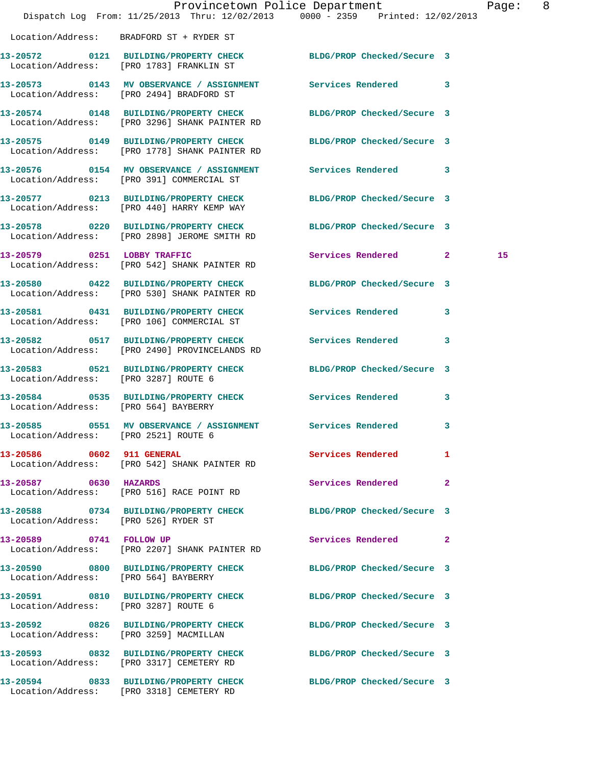|                                      | Dispatch Log From: 11/25/2013 Thru: 12/02/2013 0000 - 2359 Printed: 12/02/2013                               | Provincetown Police Department | Page: 8 |  |
|--------------------------------------|--------------------------------------------------------------------------------------------------------------|--------------------------------|---------|--|
|                                      | Location/Address: BRADFORD ST + RYDER ST                                                                     |                                |         |  |
|                                      | 13-20572 0121 BUILDING/PROPERTY CHECK BLDG/PROP Checked/Secure 3<br>Location/Address: [PRO 1783] FRANKLIN ST |                                |         |  |
|                                      | 13-20573 0143 MV OBSERVANCE / ASSIGNMENT Services Rendered 3<br>Location/Address: [PRO 2494] BRADFORD ST     |                                |         |  |
|                                      | 13-20574 0148 BUILDING/PROPERTY CHECK<br>Location/Address: [PRO 3296] SHANK PAINTER RD                       | BLDG/PROP Checked/Secure 3     |         |  |
|                                      | 13-20575 0149 BUILDING/PROPERTY CHECK<br>Location/Address: [PRO 1778] SHANK PAINTER RD                       | BLDG/PROP Checked/Secure 3     |         |  |
|                                      | 13-20576 0154 MV OBSERVANCE / ASSIGNMENT Services Rendered 3<br>Location/Address: [PRO 391] COMMERCIAL ST    |                                |         |  |
|                                      | 13-20577 0213 BUILDING/PROPERTY CHECK<br>Location/Address: [PRO 440] HARRY KEMP WAY                          | BLDG/PROP Checked/Secure 3     |         |  |
|                                      | 13-20578 0220 BUILDING/PROPERTY CHECK<br>Location/Address: [PRO 2898] JEROME SMITH RD                        | BLDG/PROP Checked/Secure 3     |         |  |
|                                      | 13-20579 0251 LOBBY TRAFFIC<br>Location/Address: [PRO 542] SHANK PAINTER RD                                  | Services Rendered 2            | 15      |  |
|                                      | 13-20580 0422 BUILDING/PROPERTY CHECK<br>Location/Address: [PRO 530] SHANK PAINTER RD                        | BLDG/PROP Checked/Secure 3     |         |  |
|                                      | 13-20581 0431 BUILDING/PROPERTY CHECK<br>Location/Address: [PRO 106] COMMERCIAL ST                           | Services Rendered<br>3         |         |  |
|                                      | 13-20582 0517 BUILDING/PROPERTY CHECK<br>Location/Address: [PRO 2490] PROVINCELANDS RD                       | <b>Services Rendered</b><br>3  |         |  |
| Location/Address: [PRO 3287] ROUTE 6 | 13-20583 0521 BUILDING/PROPERTY CHECK                                                                        | BLDG/PROP Checked/Secure 3     |         |  |
| Location/Address: [PRO 564] BAYBERRY | 13-20584 0535 BUILDING/PROPERTY CHECK                                                                        | Services Rendered<br>3         |         |  |
| Location/Address: [PRO 2521] ROUTE 6 | 13-20585 0551 MV OBSERVANCE / ASSIGNMENT Services Rendered 3                                                 |                                |         |  |
| 13-20586 0602 911 GENERAL            | Location/Address: [PRO 542] SHANK PAINTER RD                                                                 | Services Rendered<br>1         |         |  |
| 13-20587 0630 HAZARDS                | Location/Address: [PRO 516] RACE POINT RD                                                                    | Services Rendered<br>2         |         |  |
| Location/Address: [PRO 526] RYDER ST | 13-20588 0734 BUILDING/PROPERTY CHECK BLDG/PROP Checked/Secure 3                                             |                                |         |  |
| 13-20589 0741 FOLLOW UP              | Location/Address: [PRO 2207] SHANK PAINTER RD                                                                | Services Rendered 2            |         |  |
| Location/Address: [PRO 564] BAYBERRY | 13-20590 0800 BUILDING/PROPERTY CHECK BLDG/PROP Checked/Secure 3                                             |                                |         |  |
| Location/Address: [PRO 3287] ROUTE 6 | 13-20591 0810 BUILDING/PROPERTY CHECK                                                                        | BLDG/PROP Checked/Secure 3     |         |  |
|                                      | 13-20592 0826 BUILDING/PROPERTY CHECK<br>Location/Address: [PRO 3259] MACMILLAN                              | BLDG/PROP Checked/Secure 3     |         |  |
|                                      | 13-20593 0832 BUILDING/PROPERTY CHECK BLDG/PROP Checked/Secure 3<br>Location/Address: [PRO 3317] CEMETERY RD |                                |         |  |
|                                      | 13-20594 0833 BUILDING/PROPERTY CHECK<br>Location/Address: [PRO 3318] CEMETERY RD                            | BLDG/PROP Checked/Secure 3     |         |  |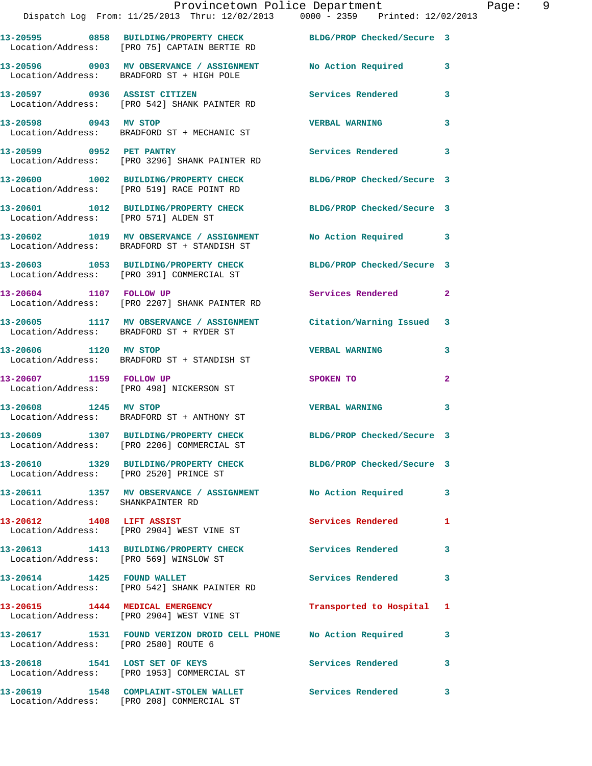|                                        | Provincetown Police Department<br>Dispatch Log From: 11/25/2013 Thru: 12/02/2013 0000 - 2359 Printed: 12/02/2013 |                            |                |
|----------------------------------------|------------------------------------------------------------------------------------------------------------------|----------------------------|----------------|
|                                        | 13-20595 0858 BUILDING/PROPERTY CHECK BLDG/PROP Checked/Secure 3<br>Location/Address: [PRO 75] CAPTAIN BERTIE RD |                            |                |
|                                        | 13-20596 0903 MV OBSERVANCE / ASSIGNMENT No Action Required<br>Location/Address: BRADFORD ST + HIGH POLE         |                            | 3              |
|                                        | 13-20597 0936 ASSIST CITIZEN<br>Location/Address: [PRO 542] SHANK PAINTER RD                                     | Services Rendered          | 3              |
| 13-20598 0943 MV STOP                  | Location/Address: BRADFORD ST + MECHANIC ST                                                                      | <b>VERBAL WARNING</b>      | 3              |
| 13-20599 0952 PET PANTRY               | Location/Address: [PRO 3296] SHANK PAINTER RD                                                                    | <b>Services Rendered</b>   | 3              |
|                                        | 13-20600 1002 BUILDING/PROPERTY CHECK<br>Location/Address: [PRO 519] RACE POINT RD                               | BLDG/PROP Checked/Secure 3 |                |
| Location/Address: [PRO 571] ALDEN ST   | 13-20601 1012 BUILDING/PROPERTY CHECK                                                                            | BLDG/PROP Checked/Secure 3 |                |
|                                        | 13-20602 1019 MV OBSERVANCE / ASSIGNMENT<br>Location/Address: BRADFORD ST + STANDISH ST                          | No Action Required         | 3              |
|                                        | 13-20603 1053 BUILDING/PROPERTY CHECK BLDG/PROP Checked/Secure 3<br>Location/Address: [PRO 391] COMMERCIAL ST    |                            |                |
|                                        | 13-20604 1107 FOLLOW UP<br>Location/Address: [PRO 2207] SHANK PAINTER RD                                         | Services Rendered          | $\mathbf{2}$   |
|                                        | 13-20605 1117 MV OBSERVANCE / ASSIGNMENT Citation/Warning Issued<br>Location/Address: BRADFORD ST + RYDER ST     |                            | 3              |
|                                        | 13-20606 1120 MV STOP<br>Location/Address: BRADFORD ST + STANDISH ST                                             | <b>VERBAL WARNING</b>      | 3              |
| 13-20607 1159 FOLLOW UP                | Location/Address: [PRO 498] NICKERSON ST                                                                         | SPOKEN TO                  | $\overline{a}$ |
| 13-20608 1245 MV STOP                  | Location/Address: BRADFORD ST + ANTHONY ST                                                                       | <b>VERBAL WARNING</b>      | 3              |
|                                        | 13-20609 1307 BUILDING/PROPERTY CHECK BLDG/PROP Checked/Secure 3<br>Location/Address: [PRO 2206] COMMERCIAL ST   |                            |                |
| Location/Address: [PRO 2520] PRINCE ST | 13-20610 1329 BUILDING/PROPERTY CHECK                                                                            | BLDG/PROP Checked/Secure 3 |                |
| Location/Address: SHANKPAINTER RD      | 13-20611 1357 MV OBSERVANCE / ASSIGNMENT No Action Required                                                      |                            | 3              |
|                                        | 13-20612 1408 LIFT ASSIST<br>Location/Address: [PRO 2904] WEST VINE ST                                           | Services Rendered          | 1              |
| Location/Address: [PRO 569] WINSLOW ST | 13-20613 1413 BUILDING/PROPERTY CHECK                                                                            | <b>Services Rendered</b>   | 3              |
|                                        | 13-20614 1425 FOUND WALLET<br>Location/Address: [PRO 542] SHANK PAINTER RD                                       | Services Rendered          | 3              |
|                                        | 13-20615 1444 MEDICAL EMERGENCY<br>Location/Address: [PRO 2904] WEST VINE ST                                     | Transported to Hospital    | 1              |
| Location/Address: [PRO 2580] ROUTE 6   | 13-20617 1531 FOUND VERIZON DROID CELL PHONE No Action Required                                                  |                            | 3              |
|                                        | 13-20618 1541 LOST SET OF KEYS<br>Location/Address: [PRO 1953] COMMERCIAL ST                                     | Services Rendered          | 3              |
|                                        | 13-20619               1548    COMPLAINT-STOLEN WALLET                   Services Rendered                       |                            | 3              |

Location/Address: [PRO 208] COMMERCIAL ST

Page: 9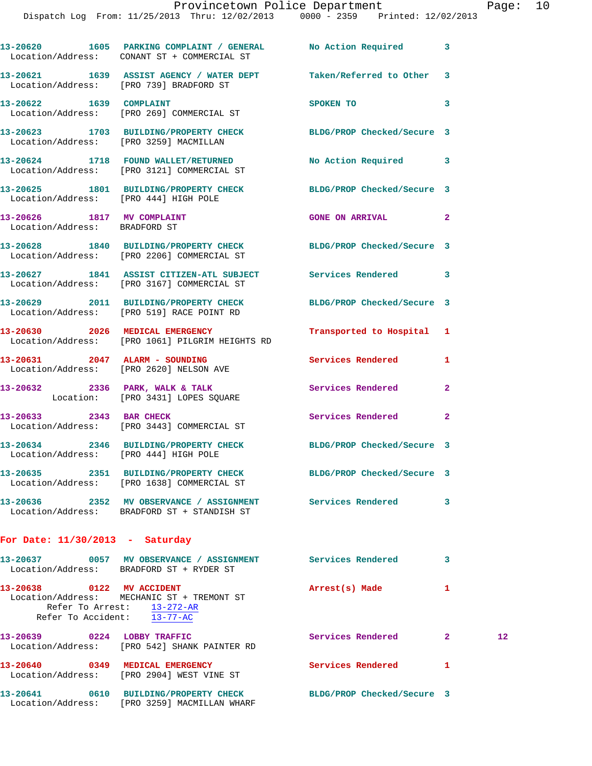|                                                             | 13-20620 1605 PARKING COMPLAINT / GENERAL No Action Required<br>Location/Address: CONANT ST + COMMERCIAL ST    |                            | 3            |                 |
|-------------------------------------------------------------|----------------------------------------------------------------------------------------------------------------|----------------------------|--------------|-----------------|
|                                                             | 13-20621 1639 ASSIST AGENCY / WATER DEPT Taken/Referred to Other<br>Location/Address: [PRO 739] BRADFORD ST    |                            | 3            |                 |
| 13-20622 1639 COMPLAINT                                     | Location/Address: [PRO 269] COMMERCIAL ST                                                                      | SPOKEN TO                  | 3            |                 |
|                                                             | 13-20623 1703 BUILDING/PROPERTY CHECK BLDG/PROP Checked/Secure 3<br>Location/Address: [PRO 3259] MACMILLAN     |                            |              |                 |
|                                                             | 13-20624 1718 FOUND WALLET/RETURNED No Action Required 3<br>Location/Address: [PRO 3121] COMMERCIAL ST         |                            |              |                 |
| Location/Address: [PRO 444] HIGH POLE                       | 13-20625 1801 BUILDING/PROPERTY CHECK BLDG/PROP Checked/Secure 3                                               |                            |              |                 |
| 13-20626 1817 MV COMPLAINT<br>Location/Address: BRADFORD ST |                                                                                                                | <b>GONE ON ARRIVAL</b>     | $\mathbf{2}$ |                 |
|                                                             | 13-20628 1840 BUILDING/PROPERTY CHECK BLDG/PROP Checked/Secure 3<br>Location/Address: [PRO 2206] COMMERCIAL ST |                            |              |                 |
|                                                             | 13-20627 1841 ASSIST CITIZEN-ATL SUBJECT Services Rendered<br>Location/Address: [PRO 3167] COMMERCIAL ST       |                            | 3            |                 |
|                                                             | 13-20629 2011 BUILDING/PROPERTY CHECK BLDG/PROP Checked/Secure 3<br>Location/Address: [PRO 519] RACE POINT RD  |                            |              |                 |
|                                                             | 13-20630 2026 MEDICAL EMERGENCY<br>Location/Address: [PRO 1061] PILGRIM HEIGHTS RD                             | Transported to Hospital 1  |              |                 |
|                                                             | 13-20631 2047 ALARM - SOUNDING<br>Location/Address: [PRO 2620] NELSON AVE                                      | Services Rendered          | 1            |                 |
|                                                             | 13-20632 2336 PARK, WALK & TALK 2008 Services Rendered<br>Location: [PRO 3431] LOPES SQUARE                    |                            | $\mathbf{2}$ |                 |
| 13-20633 2343 BAR CHECK                                     | Location/Address: [PRO 3443] COMMERCIAL ST                                                                     | Services Rendered          | $\mathbf{2}$ |                 |
| Location/Address: [PRO 444] HIGH POLE                       | 13-20634 2346 BUILDING/PROPERTY CHECK BLDG/PROP Checked/Secure 3                                               |                            |              |                 |
|                                                             | 13-20635 2351 BUILDING/PROPERTY CHECK<br>Location/Address: [PRO 1638] COMMERCIAL ST                            | BLDG/PROP Checked/Secure 3 |              |                 |
|                                                             | 13-20636 2352 MV OBSERVANCE / ASSIGNMENT Services Rendered<br>Location/Address: BRADFORD ST + STANDISH ST      |                            | 3            |                 |
| For Date: $11/30/2013$ - Saturday                           |                                                                                                                |                            |              |                 |
|                                                             | 13-20637 0057 MV OBSERVANCE / ASSIGNMENT Services Rendered<br>Location/Address: BRADFORD ST + RYDER ST         |                            | 3            |                 |
| 13-20638 0122 MV ACCIDENT                                   | Location/Address: MECHANIC ST + TREMONT ST<br>Refer To Arrest: $13-272-AR$<br>Refer To Accident: 13-77-AC      | Arrest(s) Made             | 1            |                 |
| 13-20639 0224 LOBBY TRAFFIC                                 | Location/Address: [PRO 542] SHANK PAINTER RD                                                                   | Services Rendered          | $\mathbf{2}$ | 12 <sub>1</sub> |
| 13-20640 0349 MEDICAL EMERGENCY                             | Location/Address: [PRO 2904] WEST VINE ST                                                                      | Services Rendered          | 1            |                 |
|                                                             | 13-20641 0610 BUILDING/PROPERTY CHECK<br>Location/Address: [PRO 3259] MACMILLAN WHARF                          | BLDG/PROP Checked/Secure 3 |              |                 |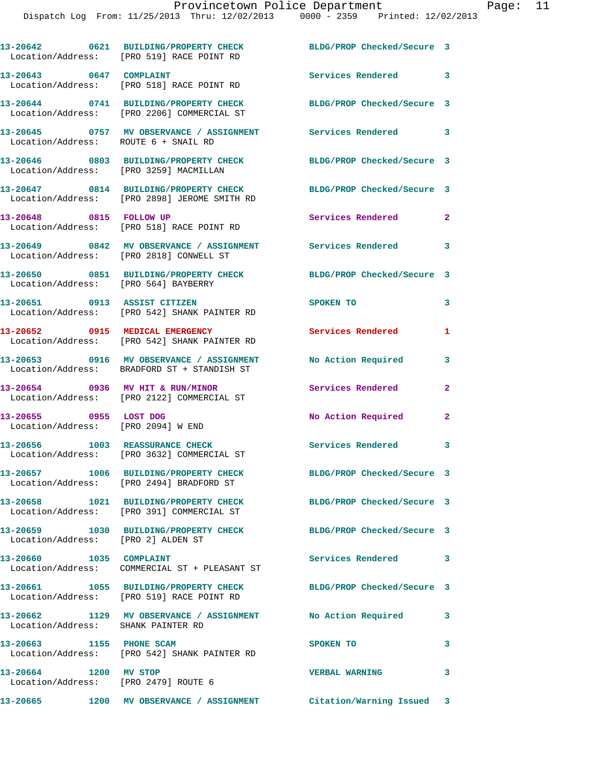|                                                               | 13-20642 0621 BUILDING/PROPERTY CHECK<br>Location/Address: [PRO 519] RACE POINT RD      | BLDG/PROP Checked/Secure 3 |                |
|---------------------------------------------------------------|-----------------------------------------------------------------------------------------|----------------------------|----------------|
| 13-20643 0647 COMPLAINT                                       | Location/Address: [PRO 518] RACE POINT RD                                               | Services Rendered 3        |                |
|                                                               | 13-20644 0741 BUILDING/PROPERTY CHECK<br>Location/Address: [PRO 2206] COMMERCIAL ST     | BLDG/PROP Checked/Secure 3 |                |
| Location/Address: ROUTE 6 + SNAIL RD                          | 13-20645 0757 MV OBSERVANCE / ASSIGNMENT Services Rendered 3                            |                            |                |
| Location/Address: [PRO 3259] MACMILLAN                        | 13-20646 0803 BUILDING/PROPERTY CHECK                                                   | BLDG/PROP Checked/Secure 3 |                |
|                                                               | 13-20647 0814 BUILDING/PROPERTY CHECK<br>Location/Address: [PRO 2898] JEROME SMITH RD   | BLDG/PROP Checked/Secure 3 |                |
| 13-20648 0815 FOLLOW UP                                       | Location/Address: [PRO 518] RACE POINT RD                                               | Services Rendered 2        |                |
| Location/Address: [PRO 2818] CONWELL ST                       | 13-20649 0842 MV OBSERVANCE / ASSIGNMENT Services Rendered                              |                            | 3              |
| Location/Address: [PRO 564] BAYBERRY                          | 13-20650 0851 BUILDING/PROPERTY CHECK BLDG/PROP Checked/Secure 3                        |                            |                |
|                                                               | 13-20651 0913 ASSIST CITIZEN<br>Location/Address: [PRO 542] SHANK PAINTER RD            | SPOKEN TO                  | 3              |
| 13-20652 0915 MEDICAL EMERGENCY                               | Location/Address: [PRO 542] SHANK PAINTER RD                                            | Services Rendered          | 1              |
|                                                               | 13-20653 0916 MV OBSERVANCE / ASSIGNMENT<br>Location/Address: BRADFORD ST + STANDISH ST | No Action Required         | 3              |
| 13-20654 0936 MV HIT & RUN/MINOR                              | Location/Address: [PRO 2122] COMMERCIAL ST                                              | Services Rendered          | $\overline{a}$ |
| 13-20655 0955 LOST DOG<br>Location/Address: [PRO 2094] W END  |                                                                                         | No Action Required         | $\mathbf{2}$   |
|                                                               | 13-20656 1003 REASSURANCE CHECK<br>Location/Address: [PRO 3632] COMMERCIAL ST           | <b>Services Rendered</b>   | 3              |
|                                                               | 13-20657 1006 BUILDING/PROPERTY CHECK<br>Location/Address: [PRO 2494] BRADFORD ST       | BLDG/PROP Checked/Secure 3 |                |
|                                                               | 13-20658 1021 BUILDING/PROPERTY CHECK<br>Location/Address: [PRO 391] COMMERCIAL ST      | BLDG/PROP Checked/Secure 3 |                |
| Location/Address: [PRO 2] ALDEN ST                            | 13-20659 1030 BUILDING/PROPERTY CHECK                                                   | BLDG/PROP Checked/Secure 3 |                |
| 13-20660 1035 COMPLAINT                                       | Location/Address: COMMERCIAL ST + PLEASANT ST                                           | Services Rendered 3        |                |
|                                                               | 13-20661 1055 BUILDING/PROPERTY CHECK<br>Location/Address: [PRO 519] RACE POINT RD      | BLDG/PROP Checked/Secure 3 |                |
| Location/Address: SHANK PAINTER RD                            | 13-20662 1129 MV OBSERVANCE / ASSIGNMENT No Action Required                             |                            | 3              |
| 13-20663 1155 PHONE SCAM                                      | Location/Address: [PRO 542] SHANK PAINTER RD                                            | SPOKEN TO                  | 3              |
| 13-20664 1200 MV STOP<br>Location/Address: [PRO 2479] ROUTE 6 |                                                                                         | <b>VERBAL WARNING</b>      | 3              |
| 13-20665                                                      | 1200 MV OBSERVANCE / ASSIGNMENT Citation/Warning Issued 3                               |                            |                |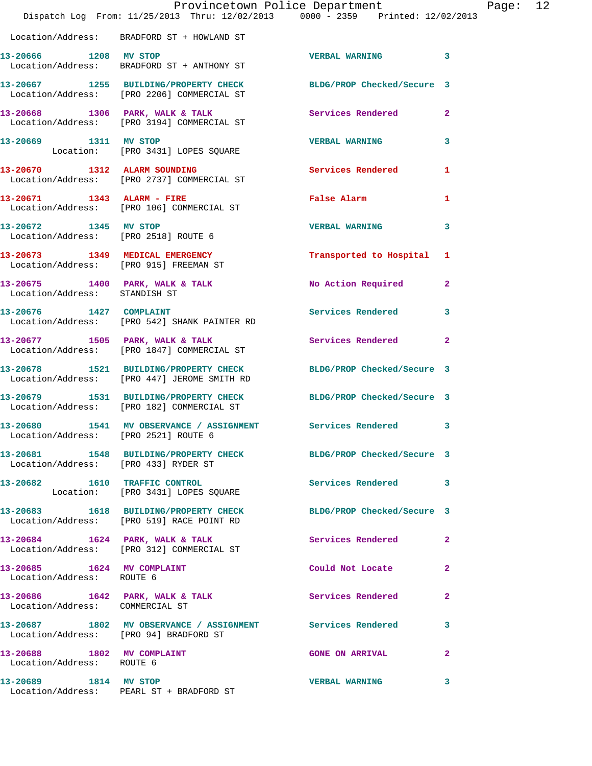|                                                                    | Dispatch Log From: 11/25/2013 Thru: 12/02/2013 0000 - 2359 Printed: 12/02/2013                                 | Provincetown Police Department | P              |
|--------------------------------------------------------------------|----------------------------------------------------------------------------------------------------------------|--------------------------------|----------------|
|                                                                    | Location/Address: BRADFORD ST + HOWLAND ST                                                                     |                                |                |
| 13-20666 1208 MV STOP                                              | Location/Address: BRADFORD ST + ANTHONY ST                                                                     | <b>VERBAL WARNING</b>          | 3              |
|                                                                    | 13-20667 1255 BUILDING/PROPERTY CHECK BLDG/PROP Checked/Secure 3<br>Location/Address: [PRO 2206] COMMERCIAL ST |                                |                |
|                                                                    | 13-20668 1306 PARK, WALK & TALK<br>Location/Address: [PRO 3194] COMMERCIAL ST                                  | <b>Services Rendered</b>       | $\mathbf{2}$   |
| 13-20669 1311 MV STOP                                              | Location: [PRO 3431] LOPES SQUARE                                                                              | <b>VERBAL WARNING</b>          | 3              |
|                                                                    | 13-20670 1312 ALARM SOUNDING<br>Location/Address: [PRO 2737] COMMERCIAL ST                                     | <b>Services Rendered</b>       | 1              |
| 13-20671 1343 ALARM - FIRE                                         | Location/Address: [PRO 106] COMMERCIAL ST                                                                      | False Alarm                    | 1              |
|                                                                    | 13-20672 1345 MV STOP<br>Location/Address: [PRO 2518] ROUTE 6                                                  | <b>VERBAL WARNING</b>          | 3              |
| 13-20673 1349 MEDICAL EMERGENCY                                    | Location/Address: [PRO 915] FREEMAN ST                                                                         | Transported to Hospital        | 1              |
| Location/Address: STANDISH ST                                      | 13-20675 1400 PARK, WALK & TALK                                                                                | <b>No Action Required</b>      | $\mathbf{2}$   |
| 13-20676 1427 COMPLAINT                                            | Location/Address: [PRO 542] SHANK PAINTER RD                                                                   | Services Rendered              | 3              |
|                                                                    | 13-20677 1505 PARK, WALK & TALK<br>Location/Address: [PRO 1847] COMMERCIAL ST                                  | <b>Services Rendered</b>       | $\overline{2}$ |
|                                                                    | 13-20678 1521 BUILDING/PROPERTY CHECK<br>Location/Address: [PRO 447] JEROME SMITH RD                           | BLDG/PROP Checked/Secure 3     |                |
|                                                                    | 13-20679 1531 BUILDING/PROPERTY CHECK<br>Location/Address: [PRO 182] COMMERCIAL ST                             | BLDG/PROP Checked/Secure 3     |                |
| 13-20680<br>Location/Address: [PRO 2521] ROUTE 6                   | 1541 MV OBSERVANCE / ASSIGNMENT Services Rendered                                                              |                                | 3              |
| Location/Address: [PRO 433] RYDER ST                               | 13-20681 1548 BUILDING/PROPERTY CHECK BLDG/PROP Checked/Secure 3                                               |                                |                |
|                                                                    | 13-20682 1610 TRAFFIC CONTROL<br>Location: [PRO 3431] LOPES SQUARE                                             | Services Rendered              | 3              |
|                                                                    | 13-20683 1618 BUILDING/PROPERTY CHECK<br>Location/Address: [PRO 519] RACE POINT RD                             | BLDG/PROP Checked/Secure 3     |                |
|                                                                    | 13-20684 1624 PARK, WALK & TALK<br>Location/Address: [PRO 312] COMMERCIAL ST                                   | Services Rendered              | $\mathbf{2}$   |
| 13-20685 1624 MV COMPLAINT<br>Location/Address: ROUTE 6            |                                                                                                                | Could Not Locate               | $\mathbf{2}$   |
| 13-20686 1642 PARK, WALK & TALK<br>Location/Address: COMMERCIAL ST |                                                                                                                | Services Rendered              | $\mathbf{2}$   |
|                                                                    | 13-20687 1802 MV OBSERVANCE / ASSIGNMENT Services Rendered<br>Location/Address: [PRO 94] BRADFORD ST           |                                | 3              |
| 13-20688 1802 MV COMPLAINT<br>Location/Address: ROUTE 6            |                                                                                                                | <b>GONE ON ARRIVAL</b>         | $\mathbf{2}$   |
| 13-20689 1814 MV STOP                                              | Location/Address: PEARL ST + BRADFORD ST                                                                       | <b>VERBAL WARNING</b>          | 3              |

age: 12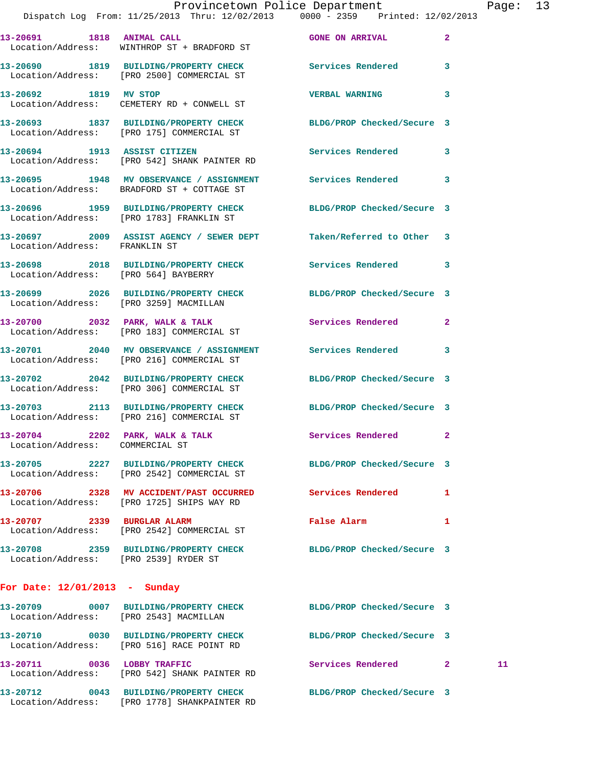**13-20693 1837 BUILDING/PROPERTY CHECK BLDG/PROP Checked/Secure 3**  Location/Address: [PRO 175] COMMERCIAL ST

**13-20694 1913 ASSIST CITIZEN Services Rendered 3**  Location/Address: [PRO 542] SHANK PAINTER RD

Location/Address: CEMETERY RD + CONWELL ST

Location/Address: BRADFORD ST + COTTAGE ST

Location/Address: [PRO 1783] FRANKLIN ST

**13-20697 2009 ASSIST AGENCY / SEWER DEPT Taken/Referred to Other 3**  Location/Address: FRANKLIN ST

Location/Address: [PRO 564] BAYBERRY

Location/Address: [PRO 3259] MACMILLAN

Location/Address: [PRO 183] COMMERCIAL ST

**13-20701 2040 MV OBSERVANCE / ASSIGNMENT Services Rendered 3**  Location/Address: [PRO 216] COMMERCIAL ST

Location/Address: [PRO 306] COMMERCIAL ST

Location/Address: [PRO 216] COMMERCIAL ST

Location/Address: COMMERCIAL ST

**13-20705 2227 BUILDING/PROPERTY CHECK BLDG/PROP Checked/Secure 3**  Location/Address: [PRO 2542] COMMERCIAL ST

**13-20706 2328 MV ACCIDENT/PAST OCCURRED Services Rendered 1**  Location/Address: [PRO 1725] SHIPS WAY RD

**13-20707 2339 BURGLAR ALARM False Alarm 1**  Location/Address: [PRO 2542] COMMERCIAL ST

Location/Address: [PRO 2539] RYDER ST

**For Date: 12/01/2013 - Sunday**

Location/Address: [PRO 2543] MACMILLAN

Location/Address: [PRO 516] RACE POINT RD

13-20711 0036 LOBBY TRAFFIC Services Rendered 2 11 Location/Address: [PRO 542] SHANK PAINTER RD

**13-20712 0043 BUILDING/PROPERTY CHECK BLDG/PROP Checked/Secure 3**  Location/Address: [PRO 1778] SHANKPAINTER RD

**13-20695 1948 MV OBSERVANCE / ASSIGNMENT Services Rendered 3 13-20696 1959 BUILDING/PROPERTY CHECK BLDG/PROP Checked/Secure 3** 

**13-20698 2018 BUILDING/PROPERTY CHECK Services Rendered 3** 

**13-20699 2026 BUILDING/PROPERTY CHECK BLDG/PROP Checked/Secure 3** 

13-20700 2032 PARK, WALK & TALK 2 Services Rendered 2

**13-20702 2042 BUILDING/PROPERTY CHECK BLDG/PROP Checked/Secure 3** 

**13-20703 2113 BUILDING/PROPERTY CHECK BLDG/PROP Checked/Secure 3** 

13-20704 2202 PARK, WALK & TALK **Services Rendered** 2

**13-20708 2359 BUILDING/PROPERTY CHECK BLDG/PROP Checked/Secure 3** 

**13-20709 0007 BUILDING/PROPERTY CHECK BLDG/PROP Checked/Secure 3 13-20710 0030 BUILDING/PROPERTY CHECK BLDG/PROP Checked/Secure 3**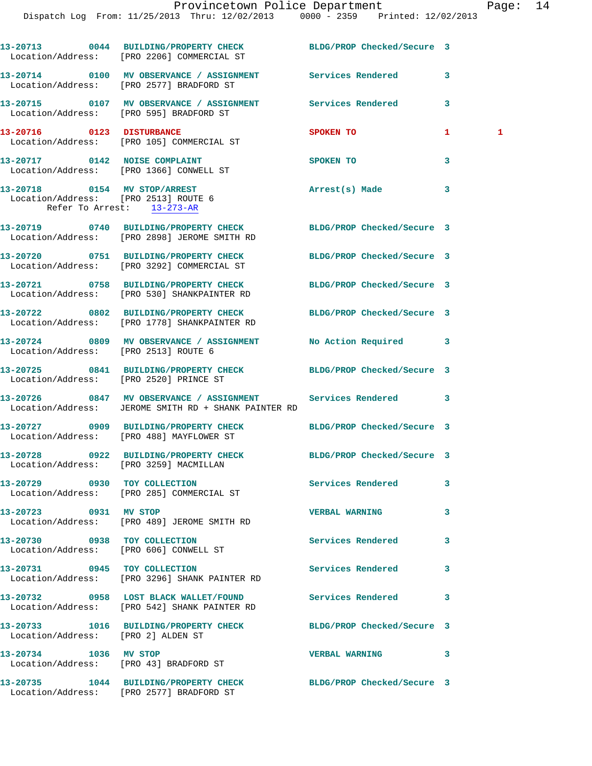|                                                                                                    | 13-20713 0044 BUILDING/PROPERTY CHECK BLDG/PROP Checked/Secure 3<br>Location/Address: [PRO 2206] COMMERCIAL ST       |                            |    |              |
|----------------------------------------------------------------------------------------------------|----------------------------------------------------------------------------------------------------------------------|----------------------------|----|--------------|
|                                                                                                    | 13-20714 0100 MV OBSERVANCE / ASSIGNMENT Services Rendered<br>Location/Address: [PRO 2577] BRADFORD ST               |                            | 3  |              |
| Location/Address: [PRO 595] BRADFORD ST                                                            | 13-20715 0107 MV OBSERVANCE / ASSIGNMENT Services Rendered                                                           |                            | 3  |              |
| 13-20716 0123 DISTURBANCE                                                                          | Location/Address: [PRO 105] COMMERCIAL ST                                                                            | <b>SPOKEN TO</b>           | 1. | $\mathbf{1}$ |
|                                                                                                    | 13-20717 0142 NOISE COMPLAINT<br>Location/Address: [PRO 1366] CONWELL ST                                             | SPOKEN TO                  | 3  |              |
| 13-20718 0154 MV STOP/ARREST<br>Location/Address: [PRO 2513] ROUTE 6<br>Refer To Arrest: 13-273-AR |                                                                                                                      | Arrest(s) Made             | 3  |              |
|                                                                                                    | 13-20719 0740 BUILDING/PROPERTY CHECK BLDG/PROP Checked/Secure 3<br>Location/Address: [PRO 2898] JEROME SMITH RD     |                            |    |              |
|                                                                                                    | 13-20720 0751 BUILDING/PROPERTY CHECK<br>Location/Address: [PRO 3292] COMMERCIAL ST                                  | BLDG/PROP Checked/Secure 3 |    |              |
|                                                                                                    | 13-20721 0758 BUILDING/PROPERTY CHECK<br>Location/Address: [PRO 530] SHANKPAINTER RD                                 | BLDG/PROP Checked/Secure 3 |    |              |
|                                                                                                    | 13-20722 0802 BUILDING/PROPERTY CHECK<br>Location/Address: [PRO 1778] SHANKPAINTER RD                                | BLDG/PROP Checked/Secure 3 |    |              |
| Location/Address: [PRO 2513] ROUTE 6                                                               | 13-20724 0809 MV OBSERVANCE / ASSIGNMENT No Action Required                                                          |                            | 3  |              |
| Location/Address: [PRO 2520] PRINCE ST                                                             | 13-20725 0841 BUILDING/PROPERTY CHECK BLDG/PROP Checked/Secure 3                                                     |                            |    |              |
|                                                                                                    | 13-20726 0847 MV OBSERVANCE / ASSIGNMENT Services Rendered 3<br>Location/Address: JEROME SMITH RD + SHANK PAINTER RD |                            |    |              |
|                                                                                                    | 13-20727 0909 BUILDING/PROPERTY CHECK<br>Location/Address: [PRO 488] MAYFLOWER ST                                    | BLDG/PROP Checked/Secure 3 |    |              |
| Location/Address: [PRO 3259] MACMILLAN                                                             | 13-20728 0922 BUILDING/PROPERTY CHECK BLDG/PROP Checked/Secure 3                                                     |                            |    |              |
|                                                                                                    | 13-20729 0930 TOY COLLECTION<br>Location/Address: [PRO 285] COMMERCIAL ST                                            | Services Rendered          | 3  |              |
| 13-20723 0931 MV STOP                                                                              | Location/Address: [PRO 489] JEROME SMITH RD                                                                          | <b>VERBAL WARNING</b>      | 3  |              |
| 13-20730 0938 TOY COLLECTION                                                                       | Location/Address: [PRO 606] CONWELL ST                                                                               | Services Rendered          | 3  |              |
|                                                                                                    | 13-20731 0945 TOY COLLECTION<br>Location/Address: [PRO 3296] SHANK PAINTER RD                                        | Services Rendered          | 3  |              |
|                                                                                                    | 13-20732 0958 LOST BLACK WALLET/FOUND<br>Location/Address: [PRO 542] SHANK PAINTER RD                                | <b>Services Rendered</b>   | 3  |              |
| Location/Address: [PRO 2] ALDEN ST                                                                 | 13-20733 1016 BUILDING/PROPERTY CHECK BLDG/PROP Checked/Secure 3                                                     |                            |    |              |
| 13-20734 1036 MV STOP                                                                              | Location/Address: [PRO 43] BRADFORD ST                                                                               | <b>VERBAL WARNING</b>      | 3  |              |
|                                                                                                    | 13-20735 1044 BUILDING/PROPERTY CHECK BLDG/PROP Checked/Secure 3<br>Location/Address: [PRO 2577] BRADFORD ST         |                            |    |              |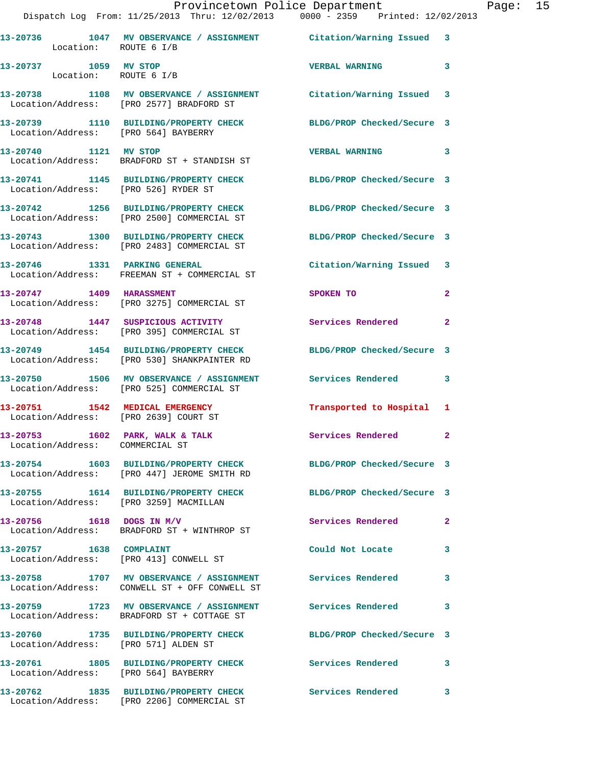|                                                                    | Provincetown Police Department The Page: 15<br>Dispatch Log From: 11/25/2013 Thru: 12/02/2013 0000 - 2359 Printed: 12/02/2013 |                            |              |  |
|--------------------------------------------------------------------|-------------------------------------------------------------------------------------------------------------------------------|----------------------------|--------------|--|
| Location: ROUTE 6 I/B                                              | 13-20736 1047 MV OBSERVANCE / ASSIGNMENT Citation/Warning Issued 3                                                            |                            |              |  |
| 13-20737 1059 MV STOP<br>Location: ROUTE 6 I/B                     |                                                                                                                               | VERBAL WARNING 3           |              |  |
|                                                                    | 13-20738 1108 MV OBSERVANCE / ASSIGNMENT Citation/Warning Issued 3<br>Location/Address: [PRO 2577] BRADFORD ST                |                            |              |  |
|                                                                    | 13-20739 1110 BUILDING/PROPERTY CHECK BLDG/PROP Checked/Secure 3<br>Location/Address: [PRO 564] BAYBERRY                      |                            |              |  |
|                                                                    | 13-20740 1121 MV STOP<br>Location/Address: BRADFORD ST + STANDISH ST                                                          | VERBAL WARNING 3           |              |  |
| Location/Address: [PRO 526] RYDER ST                               | 13-20741 1145 BUILDING/PROPERTY CHECK BLDG/PROP Checked/Secure 3                                                              |                            |              |  |
|                                                                    | 13-20742 1256 BUILDING/PROPERTY CHECK BLDG/PROP Checked/Secure 3<br>Location/Address: [PRO 2500] COMMERCIAL ST                |                            |              |  |
|                                                                    | 13-20743 1300 BUILDING/PROPERTY CHECK BLDG/PROP Checked/Secure 3<br>Location/Address: [PRO 2483] COMMERCIAL ST                |                            |              |  |
|                                                                    | 13-20746 1331 PARKING GENERAL<br>Location/Address: FREEMAN ST + COMMERCIAL ST                                                 | Citation/Warning Issued 3  |              |  |
|                                                                    | 13-20747 1409 HARASSMENT<br>Location/Address: [PRO 3275] COMMERCIAL ST                                                        | SPOKEN TO                  | $\mathbf{2}$ |  |
|                                                                    | 13-20748 1447 SUSPICIOUS ACTIVITY Services Rendered<br>Location/Address: [PRO 395] COMMERCIAL ST                              |                            | $\mathbf{2}$ |  |
|                                                                    | 13-20749 1454 BUILDING/PROPERTY CHECK BLDG/PROP Checked/Secure 3<br>Location/Address: [PRO 530] SHANKPAINTER RD               |                            |              |  |
|                                                                    | 13-20750 1506 MV OBSERVANCE / ASSIGNMENT Services Rendered 3<br>Location/Address: [PRO 525] COMMERCIAL ST                     |                            |              |  |
| Location/Address: [PRO 2639] COURT ST                              | 13-20751 1542 MEDICAL EMERGENCY                                                                                               | Transported to Hospital 1  |              |  |
| 13-20753 1602 PARK, WALK & TALK<br>Location/Address: COMMERCIAL ST |                                                                                                                               | Services Rendered 2        |              |  |
|                                                                    | 13-20754 1603 BUILDING/PROPERTY CHECK BLDG/PROP Checked/Secure 3<br>Location/Address: [PRO 447] JEROME SMITH RD               |                            |              |  |
|                                                                    | 13-20755 1614 BUILDING/PROPERTY CHECK<br>Location/Address: [PRO 3259] MACMILLAN                                               | BLDG/PROP Checked/Secure 3 |              |  |
|                                                                    | 13-20756 1618 DOGS IN M/V<br>Location/Address: BRADFORD ST + WINTHROP ST                                                      | Services Rendered          | $\mathbf{2}$ |  |
| 13-20757 1638 COMPLAINT                                            | Location/Address: [PRO 413] CONWELL ST                                                                                        | Could Not Locate           | 3            |  |
|                                                                    | 13-20758 1707 MV OBSERVANCE / ASSIGNMENT Services Rendered<br>Location/Address: CONWELL ST + OFF CONWELL ST                   |                            | 3            |  |
|                                                                    | 13-20759 1723 MV OBSERVANCE / ASSIGNMENT Services Rendered<br>Location/Address: BRADFORD ST + COTTAGE ST                      |                            | 3            |  |
| Location/Address: [PRO 571] ALDEN ST                               | 13-20760 1735 BUILDING/PROPERTY CHECK BLDG/PROP Checked/Secure 3                                                              |                            |              |  |
| Location/Address: [PRO 564] BAYBERRY                               | 13-20761 1805 BUILDING/PROPERTY CHECK Services Rendered                                                                       |                            | 3            |  |
|                                                                    | 13-20762 1835 BUILDING/PROPERTY CHECK                                                                                         | <b>Services Rendered</b>   | 3            |  |

Location/Address: [PRO 2206] COMMERCIAL ST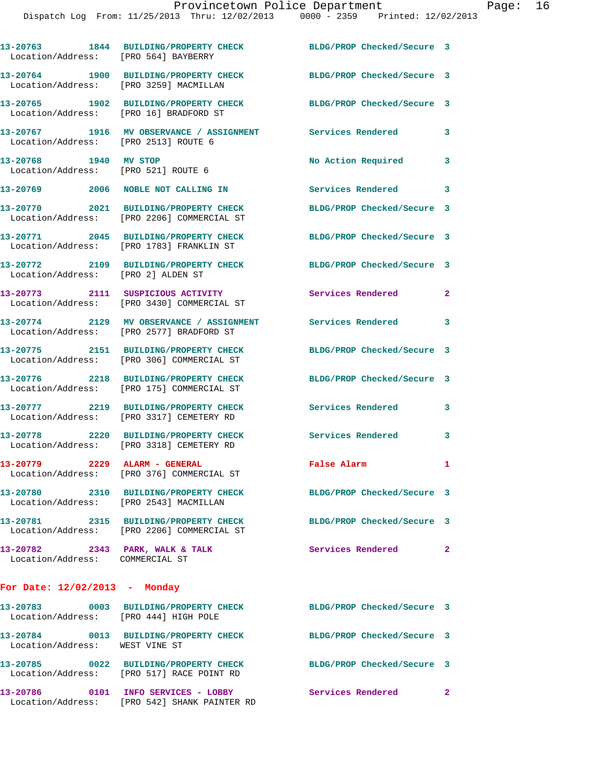| Location/Address: [PRO 564] BAYBERRY                               | 13-20763 1844 BUILDING/PROPERTY CHECK                                                | BLDG/PROP Checked/Secure 3 |                |
|--------------------------------------------------------------------|--------------------------------------------------------------------------------------|----------------------------|----------------|
| Location/Address:                                                  | 13-20764 1900 BUILDING/PROPERTY CHECK<br>[PRO 3259] MACMILLAN                        | BLDG/PROP Checked/Secure 3 |                |
| Location/Address: [PRO 16] BRADFORD ST                             | 13-20765 1902 BUILDING/PROPERTY CHECK                                                | BLDG/PROP Checked/Secure 3 |                |
| Location/Address: [PRO 2513] ROUTE 6                               | 13-20767 1916 MV OBSERVANCE / ASSIGNMENT Services Rendered                           |                            | 3              |
| 13-20768 1940 MV STOP<br>Location/Address: [PRO 521] ROUTE 6       |                                                                                      | No Action Required         | 3              |
|                                                                    | 13-20769 2006 NOBLE NOT CALLING IN                                                   | Services Rendered          | 3              |
|                                                                    | 13-20770 2021 BUILDING/PROPERTY CHECK<br>Location/Address: [PRO 2206] COMMERCIAL ST  | BLDG/PROP Checked/Secure 3 |                |
|                                                                    | 13-20771 2045 BUILDING/PROPERTY CHECK<br>Location/Address: [PRO 1783] FRANKLIN ST    | BLDG/PROP Checked/Secure 3 |                |
| Location/Address: [PRO 2] ALDEN ST                                 | 13-20772 2109 BUILDING/PROPERTY CHECK                                                | BLDG/PROP Checked/Secure 3 |                |
|                                                                    | 13-20773 2111 SUSPICIOUS ACTIVITY<br>Location/Address: [PRO 3430] COMMERCIAL ST      | Services Rendered          | $\mathbf{2}$   |
|                                                                    | 13-20774 2129 MV OBSERVANCE / ASSIGNMENT<br>Location/Address: [PRO 2577] BRADFORD ST | Services Rendered          | 3              |
| Location/Address:                                                  | 13-20775 2151 BUILDING/PROPERTY CHECK<br>[PRO 306] COMMERCIAL ST                     | BLDG/PROP Checked/Secure 3 |                |
|                                                                    | 13-20776 2218 BUILDING/PROPERTY CHECK<br>Location/Address: [PRO 175] COMMERCIAL ST   | BLDG/PROP Checked/Secure 3 |                |
| Location/Address:                                                  | 13-20777 2219 BUILDING/PROPERTY CHECK<br>[PRO 3317] CEMETERY RD                      | <b>Services Rendered</b>   | 3              |
|                                                                    | 13-20778 2220 BUILDING/PROPERTY CHECK<br>Location/Address: [PRO 3318] CEMETERY RD    | Services Rendered          | 3              |
| 13-20779 2229 ALARM - GENERAL                                      | Location/Address: [PRO 376] COMMERCIAL ST                                            | False Alarm                | $\mathbf{1}$   |
|                                                                    | 13-20780 2310 BUILDING/PROPERTY CHECK<br>Location/Address: [PRO 2543] MACMILLAN      | BLDG/PROP Checked/Secure 3 |                |
|                                                                    | 13-20781 2315 BUILDING/PROPERTY CHECK<br>Location/Address: [PRO 2206] COMMERCIAL ST  | BLDG/PROP Checked/Secure 3 |                |
| 13-20782 2343 PARK, WALK & TALK<br>Location/Address: COMMERCIAL ST |                                                                                      | Services Rendered          | $\overline{2}$ |
| For Date: $12/02/2013$ - Monday                                    |                                                                                      |                            |                |
| Location/Address: [PRO 444] HIGH POLE                              | 13-20783 0003 BUILDING/PROPERTY CHECK                                                | BLDG/PROP Checked/Secure 3 |                |
| Location/Address: WEST VINE ST                                     | 13-20784 0013 BUILDING/PROPERTY CHECK                                                | BLDG/PROP Checked/Secure 3 |                |
|                                                                    | 13-20785 0022 BUILDING/PROPERTY CHECK<br>Location/Address: [PRO 517] RACE POINT RD   | BLDG/PROP Checked/Secure 3 |                |

**13-20786 0101 INFO SERVICES - LOBBY Services Rendered 2**  Location/Address: [PRO 542] SHANK PAINTER RD